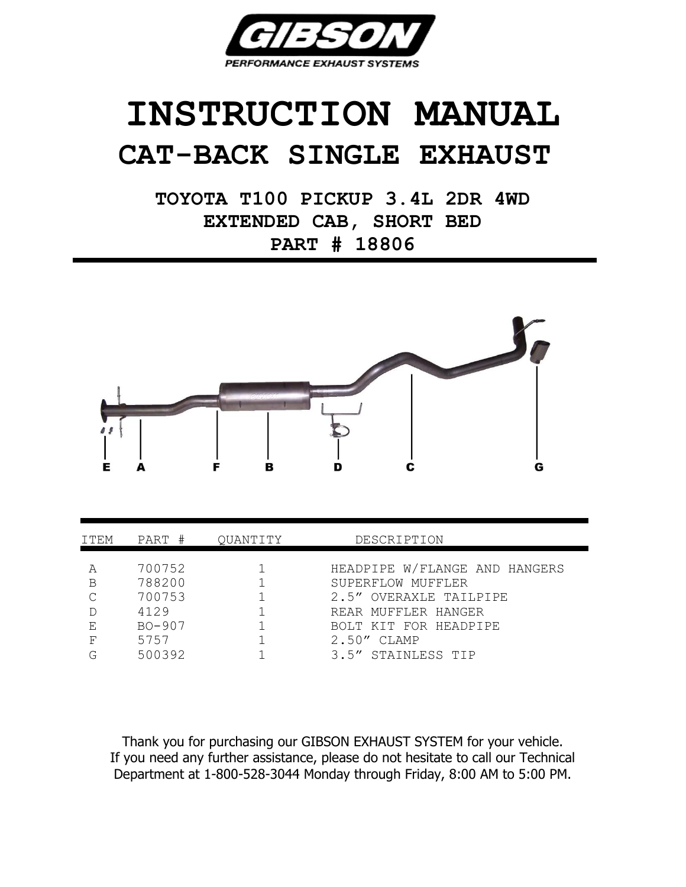

## **INSTRUCTION MANUAL CAT-BACK SINGLE EXHAUST**

**TOYOTA T100 PICKUP 3.4L 2DR 4WD EXTENDED CAB, SHORT BED PART # 18806**



| ITEM   | PART #                     | OUANTITY | DESCRIPTION                                                                  |
|--------|----------------------------|----------|------------------------------------------------------------------------------|
| B      | 700752<br>788200<br>700753 |          | HEADPIPE W/FLANGE AND HANGERS<br>SUPERFLOW MUFFLER<br>2.5" OVERAXLE TAILPIPE |
| E,     | 4129<br>$BO - 907$         |          | REAR MUFFLER HANGER<br>BOLT KIT FOR HEADPIPE                                 |
| F<br>G | 5757<br>500392             |          | $2.50''$ CLAMP<br>3.5" STAINLESS TIP                                         |

Thank you for purchasing our GIBSON EXHAUST SYSTEM for your vehicle. If you need any further assistance, please do not hesitate to call our Technical Department at 1-800-528-3044 Monday through Friday, 8:00 AM to 5:00 PM.